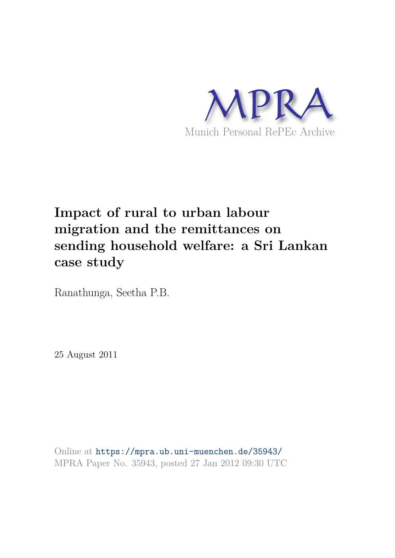

# **Impact of rural to urban labour migration and the remittances on sending household welfare: a Sri Lankan case study**

Ranathunga, Seetha P.B.

25 August 2011

Online at https://mpra.ub.uni-muenchen.de/35943/ MPRA Paper No. 35943, posted 27 Jan 2012 09:30 UTC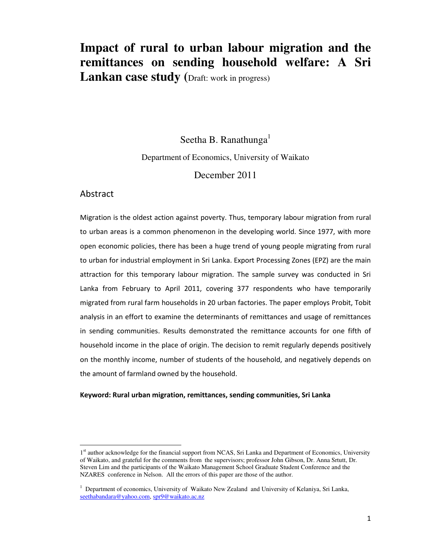## **Impact of rural to urban labour migration and the remittances on sending household welfare: A Sri**  Lankan case study (Draft: work in progress)

Seetha B. Ranathunga<sup>1</sup> Department of Economics, University of Waikato December 2011

#### Abstract

 $\overline{a}$ 

Migration is the oldest action against poverty. Thus, temporary labour migration from rural to urban areas is a common phenomenon in the developing world. Since 1977, with more open economic policies, there has been a huge trend of young people migrating from rural to urban for industrial employment in Sri Lanka. Export Processing Zones (EPZ) are the main attraction for this temporary labour migration. The sample survey was conducted in Sri Lanka from February to April 2011, covering 377 respondents who have temporarily migrated from rural farm households in 20 urban factories. The paper employs Probit, Tobit analysis in an effort to examine the determinants of remittances and usage of remittances in sending communities. Results demonstrated the remittance accounts for one fifth of household income in the place of origin. The decision to remit regularly depends positively on the monthly income, number of students of the household, and negatively depends on the amount of farmland owned by the household.

#### **Keyword: Rural urban migration, remittances, sending communities, Sri Lanka**

<sup>1&</sup>lt;sup>st</sup> author acknowledge for the financial support from NCAS, Sri Lanka and Department of Economics, University of Waikato, and grateful for the comments from the supervisors; professor John Gibson, Dr. Anna Srtutt, Dr. Steven Lim and the participants of the Waikato Management School Graduate Student Conference and the NZARES conference in Nelson. All the errors of this paper are those of the author.

<sup>&</sup>lt;sup>1</sup> Department of economics, University of Waikato New Zealand and University of Kelaniya, Sri Lanka, [seethabandara@yahoo.com,](mailto:seethabandara@yahoo.com) [spr9@waikato.ac.nz](mailto:spr9@waikato.ac.nz)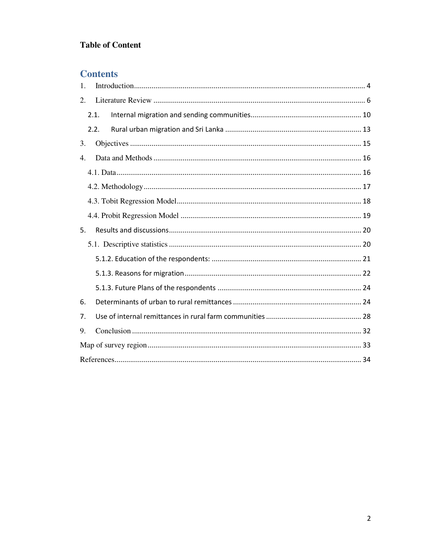## **Table of Content**

## **Contents**

| 1. |      |
|----|------|
| 2. |      |
|    | 2.1. |
|    | 2.2. |
| 3. |      |
| 4. |      |
|    |      |
|    |      |
|    |      |
|    |      |
| 5. |      |
|    |      |
|    |      |
|    |      |
|    |      |
| 6. |      |
| 7. |      |
| 9. |      |
|    |      |
|    |      |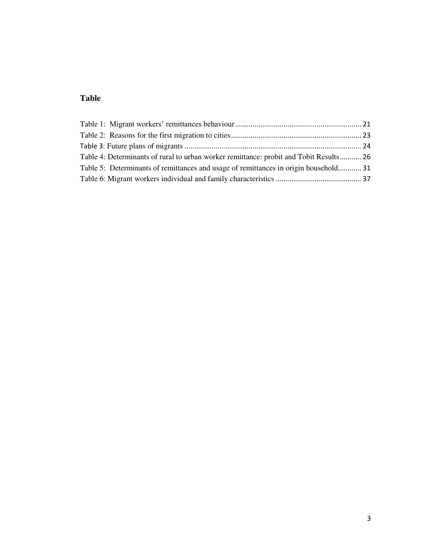## **Table**

| Table 4: Determinants of rural to urban worker remittance: probit and Tobit Results 26 |  |
|----------------------------------------------------------------------------------------|--|
| Table 5: Determinants of remittances and usage of remittances in origin household 31   |  |
|                                                                                        |  |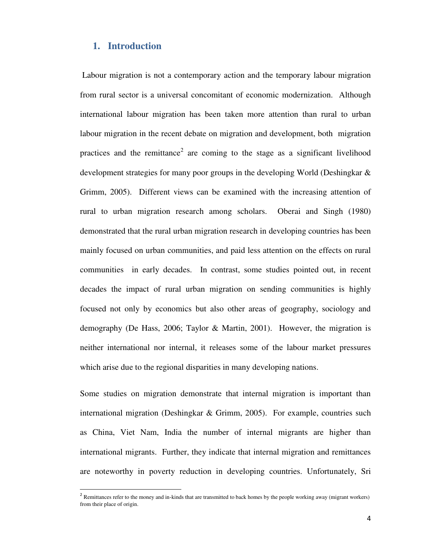#### <span id="page-4-0"></span>**1. Introduction**

 $\overline{a}$ 

 Labour migration is not a contemporary action and the temporary labour migration from rural sector is a universal concomitant of economic modernization. Although international labour migration has been taken more attention than rural to urban labour migration in the recent debate on migration and development, both migration practices and the remittance<sup>2</sup> are coming to the stage as a significant livelihood development strategies for many poor groups in the developing World (Deshingkar & Grimm, 2005). Different views can be examined with the increasing attention of rural to urban migration research among scholars. Oberai and Singh (1980) demonstrated that the rural urban migration research in developing countries has been mainly focused on urban communities, and paid less attention on the effects on rural communities in early decades. In contrast, some studies pointed out, in recent decades the impact of rural urban migration on sending communities is highly focused not only by economics but also other areas of geography, sociology and demography (De Hass, 2006; Taylor & Martin, 2001). However, the migration is neither international nor internal, it releases some of the labour market pressures which arise due to the regional disparities in many developing nations.

Some studies on migration demonstrate that internal migration is important than international migration (Deshingkar & Grimm, 2005). For example, countries such as China, Viet Nam, India the number of internal migrants are higher than international migrants. Further, they indicate that internal migration and remittances are noteworthy in poverty reduction in developing countries. Unfortunately, Sri

 $2$  Remittances refer to the money and in-kinds that are transmitted to back homes by the people working away (migrant workers) from their place of origin.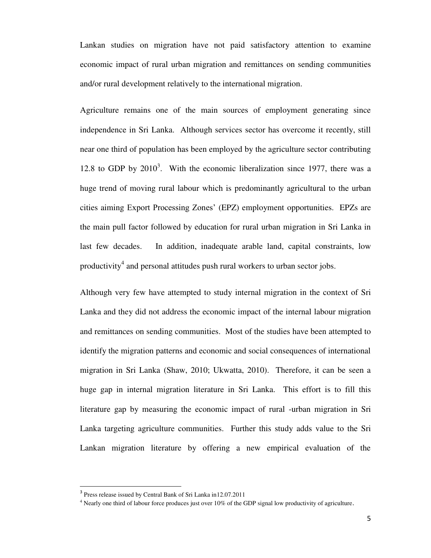Lankan studies on migration have not paid satisfactory attention to examine economic impact of rural urban migration and remittances on sending communities and/or rural development relatively to the international migration.

Agriculture remains one of the main sources of employment generating since independence in Sri Lanka. Although services sector has overcome it recently, still near one third of population has been employed by the agriculture sector contributing 12.8 to GDP by  $2010<sup>3</sup>$ . With the economic liberalization since 1977, there was a huge trend of moving rural labour which is predominantly agricultural to the urban cities aiming Export Processing Zones' (EPZ) employment opportunities. EPZs are the main pull factor followed by education for rural urban migration in Sri Lanka in last few decades. In addition, inadequate arable land, capital constraints, low productivity<sup>4</sup> and personal attitudes push rural workers to urban sector jobs.

Although very few have attempted to study internal migration in the context of Sri Lanka and they did not address the economic impact of the internal labour migration and remittances on sending communities. Most of the studies have been attempted to identify the migration patterns and economic and social consequences of international migration in Sri Lanka (Shaw, 2010; Ukwatta, 2010). Therefore, it can be seen a huge gap in internal migration literature in Sri Lanka. This effort is to fill this literature gap by measuring the economic impact of rural -urban migration in Sri Lanka targeting agriculture communities. Further this study adds value to the Sri Lankan migration literature by offering a new empirical evaluation of the

 $\overline{a}$ 

<sup>&</sup>lt;sup>3</sup> Press release issued by Central Bank of Sri Lanka in12.07.2011

<sup>&</sup>lt;sup>4</sup> Nearly one third of labour force produces just over 10% of the GDP signal low productivity of agriculture.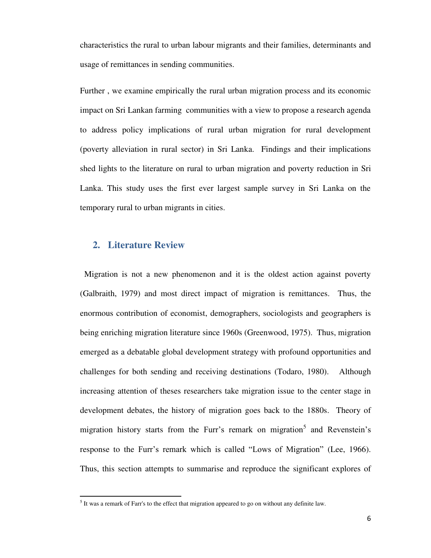characteristics the rural to urban labour migrants and their families, determinants and usage of remittances in sending communities.

Further , we examine empirically the rural urban migration process and its economic impact on Sri Lankan farming communities with a view to propose a research agenda to address policy implications of rural urban migration for rural development (poverty alleviation in rural sector) in Sri Lanka. Findings and their implications shed lights to the literature on rural to urban migration and poverty reduction in Sri Lanka. This study uses the first ever largest sample survey in Sri Lanka on the temporary rural to urban migrants in cities.

### <span id="page-6-0"></span>**2. Literature Review**

l

 Migration is not a new phenomenon and it is the oldest action against poverty (Galbraith, 1979) and most direct impact of migration is remittances. Thus, the enormous contribution of economist, demographers, sociologists and geographers is being enriching migration literature since 1960s (Greenwood, 1975). Thus, migration emerged as a debatable global development strategy with profound opportunities and challenges for both sending and receiving destinations (Todaro, 1980). Although increasing attention of theses researchers take migration issue to the center stage in development debates, the history of migration goes back to the 1880s. Theory of migration history starts from the Furr's remark on migration<sup>5</sup> and Revenstein's response to the Furr's remark which is called "Lows of Migration" (Lee, 1966). Thus, this section attempts to summarise and reproduce the significant explores of

 $<sup>5</sup>$  It was a remark of Farr's to the effect that migration appeared to go on without any definite law.</sup>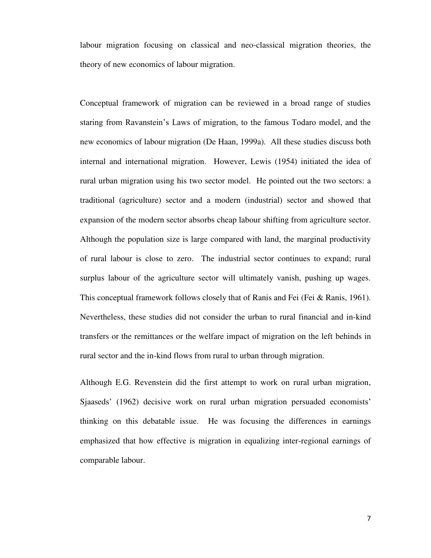labour migration focusing on classical and neo-classical migration theories, the theory of new economics of labour migration.

Conceptual framework of migration can be reviewed in a broad range of studies staring from Ravanstein's Laws of migration, to the famous Todaro model, and the new economics of labour migration (De Haan, 1999a). All these studies discuss both internal and international migration. However, Lewis (1954) initiated the idea of rural urban migration using his two sector model. He pointed out the two sectors: a traditional (agriculture) sector and a modern (industrial) sector and showed that expansion of the modern sector absorbs cheap labour shifting from agriculture sector. Although the population size is large compared with land, the marginal productivity of rural labour is close to zero. The industrial sector continues to expand; rural surplus labour of the agriculture sector will ultimately vanish, pushing up wages. This conceptual framework follows closely that of Ranis and Fei (Fei & Ranis, 1961). Nevertheless, these studies did not consider the urban to rural financial and in-kind transfers or the remittances or the welfare impact of migration on the left behinds in rural sector and the in-kind flows from rural to urban through migration.

Although E.G. Revenstein did the first attempt to work on rural urban migration, Sjaaseds' (1962) decisive work on rural urban migration persuaded economists' thinking on this debatable issue. He was focusing the differences in earnings emphasized that how effective is migration in equalizing inter-regional earnings of comparable labour.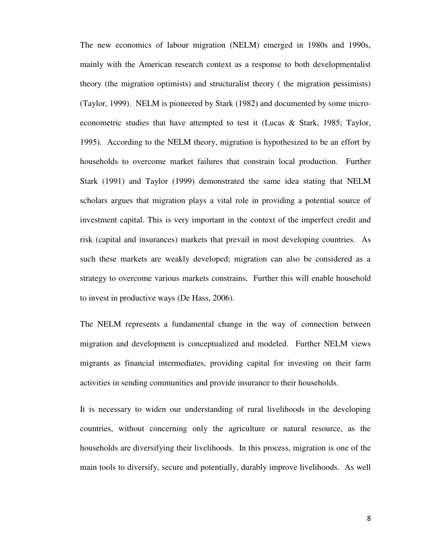The new economics of labour migration (NELM) emerged in 1980s and 1990s, mainly with the American research context as a response to both developmentalist theory (the migration optimists) and structuralist theory ( the migration pessimists) (Taylor, 1999). NELM is pioneered by Stark (1982) and documented by some microeconometric studies that have attempted to test it (Lucas & Stark, 1985; Taylor, 1995). According to the NELM theory, migration is hypothesized to be an effort by households to overcome market failures that constrain local production. Further Stark (1991) and Taylor (1999) demonstrated the same idea stating that NELM scholars argues that migration plays a vital role in providing a potential source of investment capital. This is very important in the context of the imperfect credit and risk (capital and insurances) markets that prevail in most developing countries. As such these markets are weakly developed; migration can also be considered as a strategy to overcome various markets constrains. Further this will enable household to invest in productive ways (De Hass, 2006).

The NELM represents a fundamental change in the way of connection between migration and development is conceptualized and modeled. Further NELM views migrants as financial intermediates, providing capital for investing on their farm activities in sending communities and provide insurance to their households.

It is necessary to widen our understanding of rural livelihoods in the developing countries, without concerning only the agriculture or natural resource, as the households are diversifying their livelihoods. In this process, migration is one of the main tools to diversify, secure and potentially, durably improve livelihoods. As well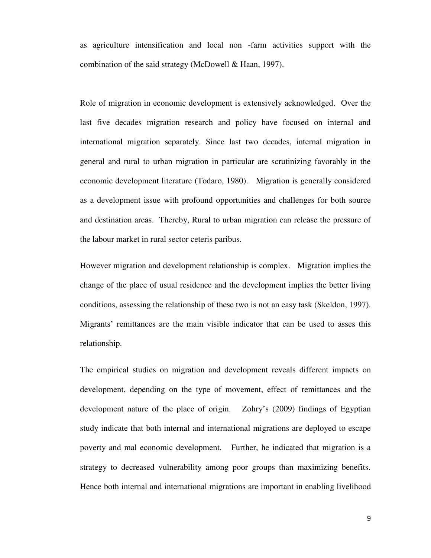as agriculture intensification and local non -farm activities support with the combination of the said strategy (McDowell & Haan, 1997).

Role of migration in economic development is extensively acknowledged. Over the last five decades migration research and policy have focused on internal and international migration separately. Since last two decades, internal migration in general and rural to urban migration in particular are scrutinizing favorably in the economic development literature (Todaro, 1980). Migration is generally considered as a development issue with profound opportunities and challenges for both source and destination areas. Thereby, Rural to urban migration can release the pressure of the labour market in rural sector ceteris paribus.

However migration and development relationship is complex. Migration implies the change of the place of usual residence and the development implies the better living conditions, assessing the relationship of these two is not an easy task (Skeldon, 1997). Migrants' remittances are the main visible indicator that can be used to asses this relationship.

The empirical studies on migration and development reveals different impacts on development, depending on the type of movement, effect of remittances and the development nature of the place of origin. Zohry's (2009) findings of Egyptian study indicate that both internal and international migrations are deployed to escape poverty and mal economic development. Further, he indicated that migration is a strategy to decreased vulnerability among poor groups than maximizing benefits. Hence both internal and international migrations are important in enabling livelihood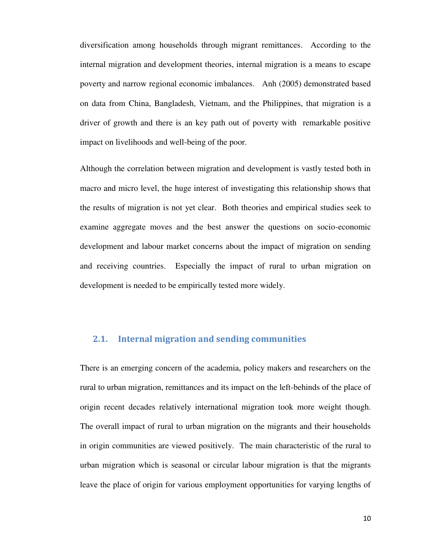diversification among households through migrant remittances. According to the internal migration and development theories, internal migration is a means to escape poverty and narrow regional economic imbalances. Anh (2005) demonstrated based on data from China, Bangladesh, Vietnam, and the Philippines, that migration is a driver of growth and there is an key path out of poverty with remarkable positive impact on livelihoods and well-being of the poor.

Although the correlation between migration and development is vastly tested both in macro and micro level, the huge interest of investigating this relationship shows that the results of migration is not yet clear. Both theories and empirical studies seek to examine aggregate moves and the best answer the questions on socio-economic development and labour market concerns about the impact of migration on sending and receiving countries. Especially the impact of rural to urban migration on development is needed to be empirically tested more widely.

#### <span id="page-10-0"></span>**2.1. Internal migration and sending communities**

There is an emerging concern of the academia, policy makers and researchers on the rural to urban migration, remittances and its impact on the left-behinds of the place of origin recent decades relatively international migration took more weight though. The overall impact of rural to urban migration on the migrants and their households in origin communities are viewed positively. The main characteristic of the rural to urban migration which is seasonal or circular labour migration is that the migrants leave the place of origin for various employment opportunities for varying lengths of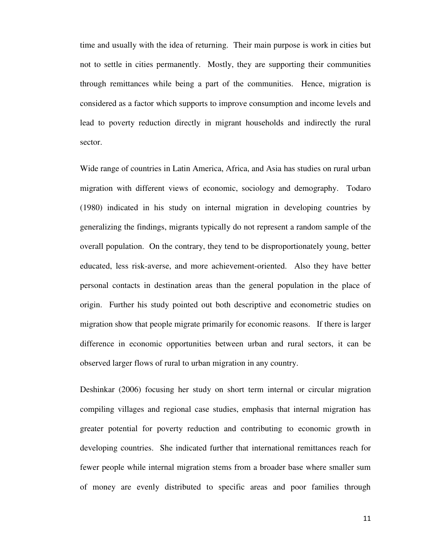time and usually with the idea of returning. Their main purpose is work in cities but not to settle in cities permanently. Mostly, they are supporting their communities through remittances while being a part of the communities. Hence, migration is considered as a factor which supports to improve consumption and income levels and lead to poverty reduction directly in migrant households and indirectly the rural sector.

Wide range of countries in Latin America, Africa, and Asia has studies on rural urban migration with different views of economic, sociology and demography. Todaro (1980) indicated in his study on internal migration in developing countries by generalizing the findings, migrants typically do not represent a random sample of the overall population. On the contrary, they tend to be disproportionately young, better educated, less risk-averse, and more achievement-oriented. Also they have better personal contacts in destination areas than the general population in the place of origin. Further his study pointed out both descriptive and econometric studies on migration show that people migrate primarily for economic reasons. If there is larger difference in economic opportunities between urban and rural sectors, it can be observed larger flows of rural to urban migration in any country.

Deshinkar (2006) focusing her study on short term internal or circular migration compiling villages and regional case studies, emphasis that internal migration has greater potential for poverty reduction and contributing to economic growth in developing countries. She indicated further that international remittances reach for fewer people while internal migration stems from a broader base where smaller sum of money are evenly distributed to specific areas and poor families through

11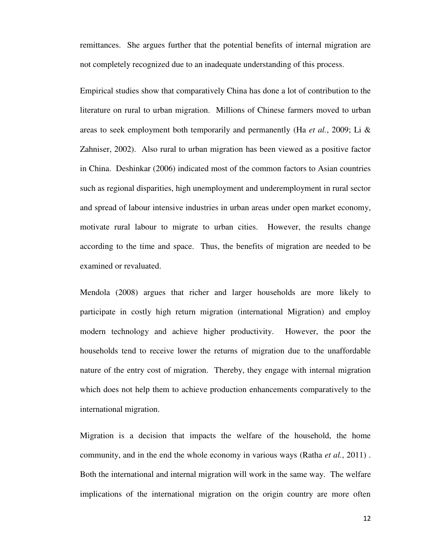remittances. She argues further that the potential benefits of internal migration are not completely recognized due to an inadequate understanding of this process.

Empirical studies show that comparatively China has done a lot of contribution to the literature on rural to urban migration. Millions of Chinese farmers moved to urban areas to seek employment both temporarily and permanently (Ha *et al.*, 2009; Li & Zahniser, 2002). Also rural to urban migration has been viewed as a positive factor in China. Deshinkar (2006) indicated most of the common factors to Asian countries such as regional disparities, high unemployment and underemployment in rural sector and spread of labour intensive industries in urban areas under open market economy, motivate rural labour to migrate to urban cities. However, the results change according to the time and space. Thus, the benefits of migration are needed to be examined or revaluated.

Mendola (2008) argues that richer and larger households are more likely to participate in costly high return migration (international Migration) and employ modern technology and achieve higher productivity. However, the poor the households tend to receive lower the returns of migration due to the unaffordable nature of the entry cost of migration. Thereby, they engage with internal migration which does not help them to achieve production enhancements comparatively to the international migration.

Migration is a decision that impacts the welfare of the household, the home community, and in the end the whole economy in various ways (Ratha *et al.*, 2011) . Both the international and internal migration will work in the same way. The welfare implications of the international migration on the origin country are more often

12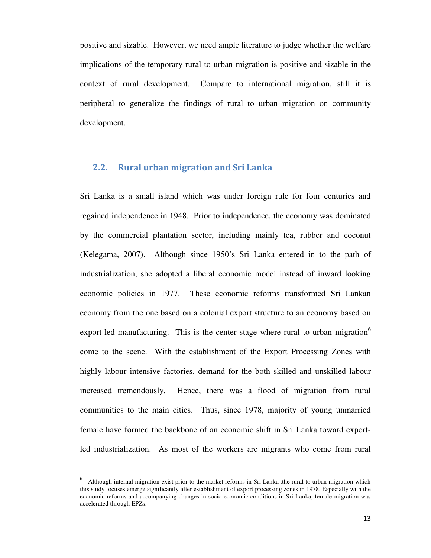positive and sizable. However, we need ample literature to judge whether the welfare implications of the temporary rural to urban migration is positive and sizable in the context of rural development. Compare to international migration, still it is peripheral to generalize the findings of rural to urban migration on community development.

#### <span id="page-13-0"></span>**2.2. Rural urban migration and Sri Lanka**

Sri Lanka is a small island which was under foreign rule for four centuries and regained independence in 1948. Prior to independence, the economy was dominated by the commercial plantation sector, including mainly tea, rubber and coconut (Kelegama, 2007). Although since 1950's Sri Lanka entered in to the path of industrialization, she adopted a liberal economic model instead of inward looking economic policies in 1977. These economic reforms transformed Sri Lankan economy from the one based on a colonial export structure to an economy based on export-led manufacturing. This is the center stage where rural to urban migration $\degree$ come to the scene. With the establishment of the Export Processing Zones with highly labour intensive factories, demand for the both skilled and unskilled labour increased tremendously. Hence, there was a flood of migration from rural communities to the main cities. Thus, since 1978, majority of young unmarried female have formed the backbone of an economic shift in Sri Lanka toward exportled industrialization. As most of the workers are migrants who come from rural

l

<sup>6</sup> Although internal migration exist prior to the market reforms in Sri Lanka ,the rural to urban migration which this study focuses emerge significantly after establishment of export processing zones in 1978. Especially with the economic reforms and accompanying changes in socio economic conditions in Sri Lanka, female migration was accelerated through EPZs.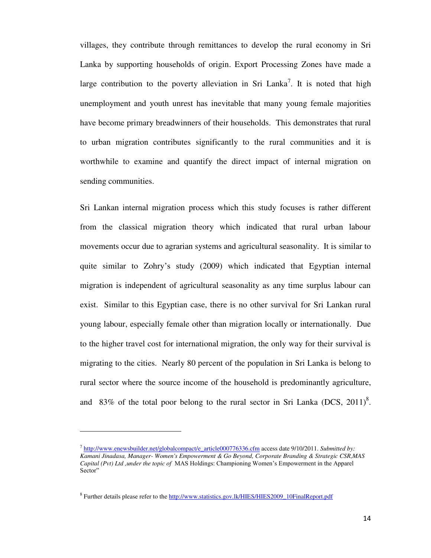villages, they contribute through remittances to develop the rural economy in Sri Lanka by supporting households of origin. Export Processing Zones have made a large contribution to the poverty alleviation in Sri Lanka<sup>7</sup>. It is noted that high unemployment and youth unrest has inevitable that many young female majorities have become primary breadwinners of their households. This demonstrates that rural to urban migration contributes significantly to the rural communities and it is worthwhile to examine and quantify the direct impact of internal migration on sending communities.

Sri Lankan internal migration process which this study focuses is rather different from the classical migration theory which indicated that rural urban labour movements occur due to agrarian systems and agricultural seasonality. It is similar to quite similar to Zohry's study (2009) which indicated that Egyptian internal migration is independent of agricultural seasonality as any time surplus labour can exist. Similar to this Egyptian case, there is no other survival for Sri Lankan rural young labour, especially female other than migration locally or internationally. Due to the higher travel cost for international migration, the only way for their survival is migrating to the cities. Nearly 80 percent of the population in Sri Lanka is belong to rural sector where the source income of the household is predominantly agriculture, and 83% of the total poor belong to the rural sector in Sri Lanka (DCS,  $2011$ )<sup>8</sup>.

 $\overline{a}$ 

<sup>&</sup>lt;sup>7</sup> [http://www.enewsbuilder.net/globalcompact/e\\_article000776336.cfm](http://www.enewsbuilder.net/globalcompact/e_article000776336.cfm) access date 9/10/2011. *Submitted by: Kamani Jinadasa, Manager- Women's Empowerment & Go Beyond, Corporate Branding & Strategic CSR,MAS Capital (Pvt) Ltd ,under the topic of* MAS Holdings: Championing Women's Empowerment in the Apparel Sector"

<sup>&</sup>lt;sup>8</sup> Further details please refer to the [http://www.statistics.gov.lk/HIES/HIES2009\\_10FinalReport.pdf](http://www.statistics.gov.lk/HIES/HIES2009_10FinalReport.pdf)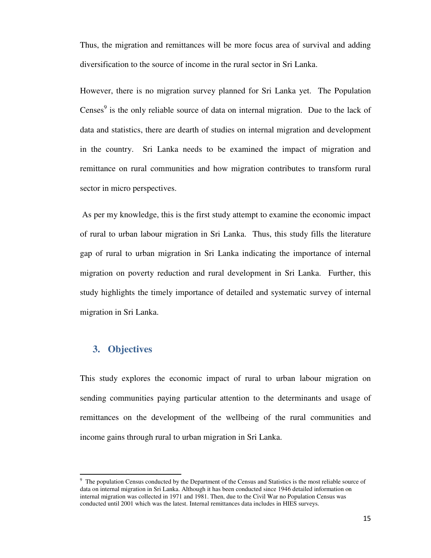Thus, the migration and remittances will be more focus area of survival and adding diversification to the source of income in the rural sector in Sri Lanka.

However, there is no migration survey planned for Sri Lanka yet. The Population Censes $\degree$  is the only reliable source of data on internal migration. Due to the lack of data and statistics, there are dearth of studies on internal migration and development in the country. Sri Lanka needs to be examined the impact of migration and remittance on rural communities and how migration contributes to transform rural sector in micro perspectives.

 As per my knowledge, this is the first study attempt to examine the economic impact of rural to urban labour migration in Sri Lanka. Thus, this study fills the literature gap of rural to urban migration in Sri Lanka indicating the importance of internal migration on poverty reduction and rural development in Sri Lanka. Further, this study highlights the timely importance of detailed and systematic survey of internal migration in Sri Lanka.

## <span id="page-15-0"></span>**3. Objectives**

l

This study explores the economic impact of rural to urban labour migration on sending communities paying particular attention to the determinants and usage of remittances on the development of the wellbeing of the rural communities and income gains through rural to urban migration in Sri Lanka.

<sup>&</sup>lt;sup>9</sup> The population Census conducted by the Department of the Census and Statistics is the most reliable source of data on internal migration in Sri Lanka. Although it has been conducted since 1946 detailed information on internal migration was collected in 1971 and 1981. Then, due to the Civil War no Population Census was conducted until 2001 which was the latest. Internal remittances data includes in HIES surveys.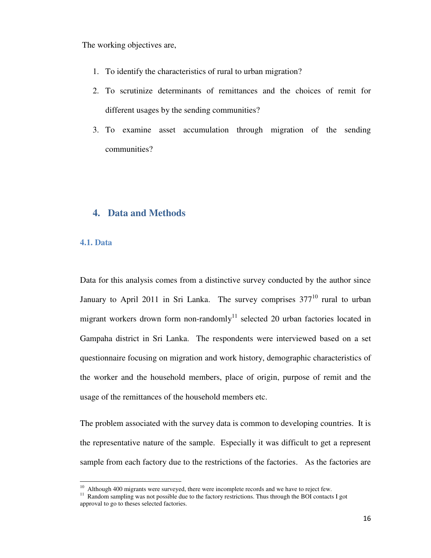The working objectives are,

- 1. To identify the characteristics of rural to urban migration?
- 2. To scrutinize determinants of remittances and the choices of remit for different usages by the sending communities?
- 3. To examine asset accumulation through migration of the sending communities?

#### <span id="page-16-0"></span>**4. Data and Methods**

#### <span id="page-16-1"></span>**4.1. Data**

Data for this analysis comes from a distinctive survey conducted by the author since January to April 2011 in Sri Lanka. The survey comprises  $377^{10}$  rural to urban migrant workers drown form non-randomly<sup>11</sup> selected 20 urban factories located in Gampaha district in Sri Lanka. The respondents were interviewed based on a set questionnaire focusing on migration and work history, demographic characteristics of the worker and the household members, place of origin, purpose of remit and the usage of the remittances of the household members etc.

The problem associated with the survey data is common to developing countries. It is the representative nature of the sample. Especially it was difficult to get a represent sample from each factory due to the restrictions of the factories. As the factories are

<sup>&</sup>lt;sup>10</sup> Although 400 migrants were surveyed, there were incomplete records and we have to reject few.

<sup>&</sup>lt;sup>11</sup> Random sampling was not possible due to the factory restrictions. Thus through the BOI contacts I got approval to go to theses selected factories.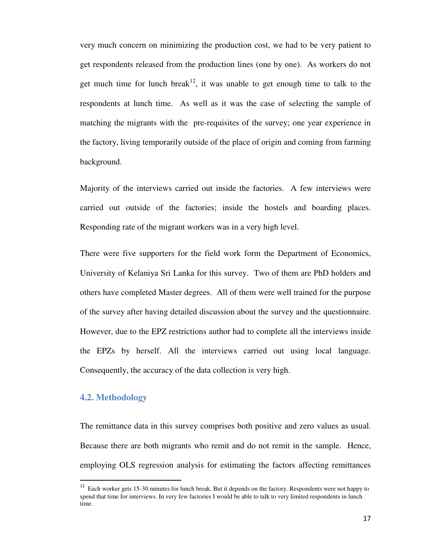very much concern on minimizing the production cost, we had to be very patient to get respondents released from the production lines (one by one). As workers do not get much time for lunch break<sup>12</sup>, it was unable to get enough time to talk to the respondents at lunch time. As well as it was the case of selecting the sample of matching the migrants with the pre-requisites of the survey; one year experience in the factory, living temporarily outside of the place of origin and coming from farming background.

Majority of the interviews carried out inside the factories. A few interviews were carried out outside of the factories; inside the hostels and boarding places. Responding rate of the migrant workers was in a very high level.

There were five supporters for the field work form the Department of Economics, University of Kelaniya Sri Lanka for this survey. Two of them are PhD holders and others have completed Master degrees. All of them were well trained for the purpose of the survey after having detailed discussion about the survey and the questionnaire. However, due to the EPZ restrictions author had to complete all the interviews inside the EPZs by herself. All the interviews carried out using local language. Consequently, the accuracy of the data collection is very high.

#### <span id="page-17-0"></span>**4.2. Methodology**

 $\overline{a}$ 

The remittance data in this survey comprises both positive and zero values as usual. Because there are both migrants who remit and do not remit in the sample. Hence, employing OLS regression analysis for estimating the factors affecting remittances

<sup>&</sup>lt;sup>12</sup> Each worker gets 15-30 minutes for lunch break. But it depends on the factory. Respondents were not happy to spend that time for interviews. In very few factories I would be able to talk to very limited respondents in lunch time.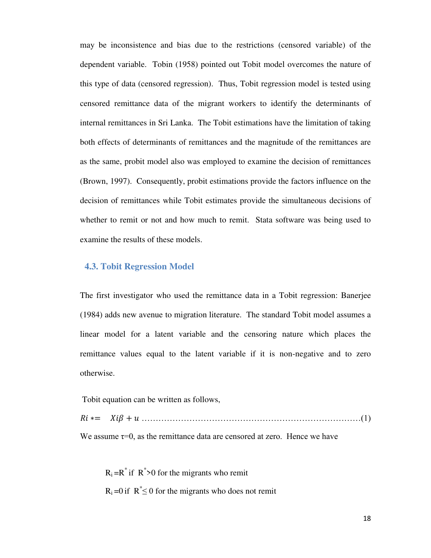may be inconsistence and bias due to the restrictions (censored variable) of the dependent variable. Tobin (1958) pointed out Tobit model overcomes the nature of this type of data (censored regression). Thus, Tobit regression model is tested using censored remittance data of the migrant workers to identify the determinants of internal remittances in Sri Lanka. The Tobit estimations have the limitation of taking both effects of determinants of remittances and the magnitude of the remittances are as the same, probit model also was employed to examine the decision of remittances (Brown, 1997). Consequently, probit estimations provide the factors influence on the decision of remittances while Tobit estimates provide the simultaneous decisions of whether to remit or not and how much to remit. Stata software was being used to examine the results of these models.

#### <span id="page-18-0"></span> **4.3. Tobit Regression Model**

The first investigator who used the remittance data in a Tobit regression: Banerjee (1984) adds new avenue to migration literature. The standard Tobit model assumes a linear model for a latent variable and the censoring nature which places the remittance values equal to the latent variable if it is non-negative and to zero otherwise.

Tobit equation can be written as follows,

 $Ri == Xi\beta + u \dots (1)$ 

We assume  $\tau=0$ , as the remittance data are censored at zero. Hence we have

 $R_i = R^*$  if  $R^* > 0$  for the migrants who remit  $R_i = 0$  if  $R^* \le 0$  for the migrants who does not remit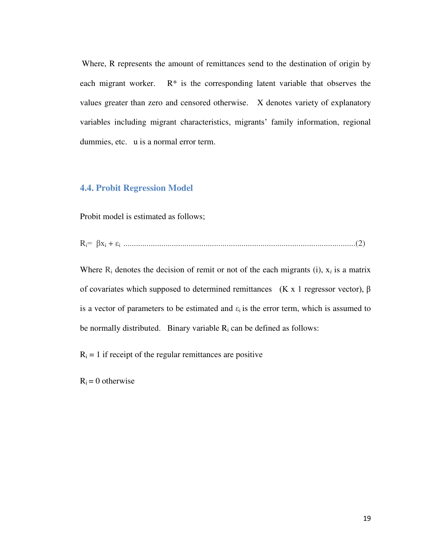Where, R represents the amount of remittances send to the destination of origin by each migrant worker.  $R^*$  is the corresponding latent variable that observes the values greater than zero and censored otherwise. X denotes variety of explanatory variables including migrant characteristics, migrants' family information, regional dummies, etc. u is a normal error term.

#### <span id="page-19-0"></span>**4.4. Probit Regression Model**

Probit model is estimated as follows;

Ri= βx<sup>i</sup> + εi ..............................................................................................................(2)

Where  $R_i$  denotes the decision of remit or not of the each migrants (i),  $x_i$  is a matrix of covariates which supposed to determined remittances (K x 1 regressor vector),  $\beta$ is a vector of parameters to be estimated and  $\varepsilon_i$  is the error term, which is assumed to be normally distributed. Binary variable  $R_i$  can be defined as follows:

 $R_i = 1$  if receipt of the regular remittances are positive

 $R_i = 0$  otherwise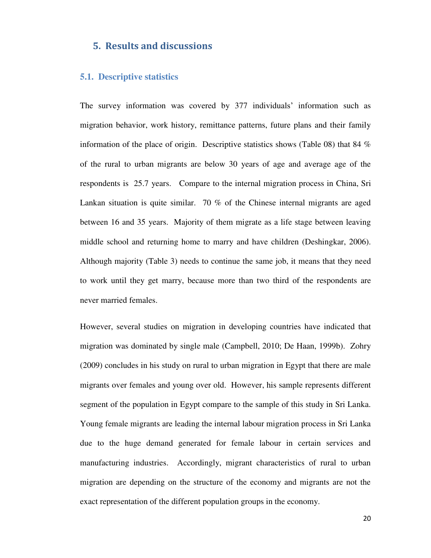#### <span id="page-20-0"></span>**5. Results and discussions**

#### <span id="page-20-1"></span>**5.1. Descriptive statistics**

The survey information was covered by 377 individuals' information such as migration behavior, work history, remittance patterns, future plans and their family information of the place of origin. Descriptive statistics shows (Table 08) that 84  $\%$ of the rural to urban migrants are below 30 years of age and average age of the respondents is 25.7 years. Compare to the internal migration process in China, Sri Lankan situation is quite similar. 70 % of the Chinese internal migrants are aged between 16 and 35 years. Majority of them migrate as a life stage between leaving middle school and returning home to marry and have children (Deshingkar, 2006). Although majority (Table 3) needs to continue the same job, it means that they need to work until they get marry, because more than two third of the respondents are never married females.

However, several studies on migration in developing countries have indicated that migration was dominated by single male (Campbell, 2010; De Haan, 1999b). Zohry (2009) concludes in his study on rural to urban migration in Egypt that there are male migrants over females and young over old. However, his sample represents different segment of the population in Egypt compare to the sample of this study in Sri Lanka. Young female migrants are leading the internal labour migration process in Sri Lanka due to the huge demand generated for female labour in certain services and manufacturing industries. Accordingly, migrant characteristics of rural to urban migration are depending on the structure of the economy and migrants are not the exact representation of the different population groups in the economy.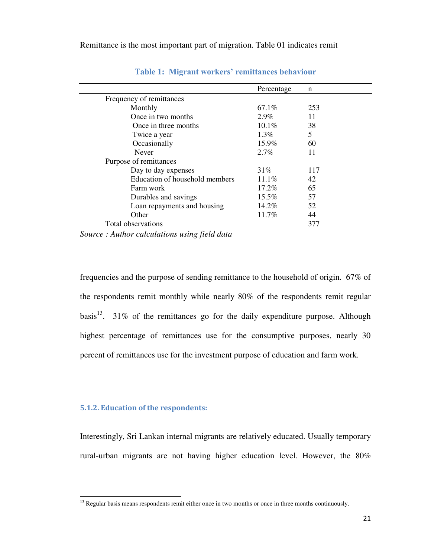<span id="page-21-1"></span>

| Percentage | n   |
|------------|-----|
|            |     |
| 67.1%      | 253 |
| $2.9\%$    | 11  |
| $10.1\%$   | 38  |
| $1.3\%$    | 5   |
| 15.9%      | 60  |
| $2.7\%$    | 11  |
|            |     |
| $31\%$     | 117 |
| $11.1\%$   | 42  |
| $17.2\%$   | 65  |
| 15.5%      | 57  |
| $14.2\%$   | 52  |
| 11.7%      | 44  |
|            | 377 |
|            |     |

#### **Table 1: Migrant workers' remittances behaviour**

*Source : Author calculations using field data* 

frequencies and the purpose of sending remittance to the household of origin. 67% of the respondents remit monthly while nearly 80% of the respondents remit regular basis<sup>13</sup>. 31% of the remittances go for the daily expenditure purpose. Although highest percentage of remittances use for the consumptive purposes, nearly 30 percent of remittances use for the investment purpose of education and farm work.

#### <span id="page-21-0"></span>**5.1.2. Education of the respondents:**

l

Interestingly, Sri Lankan internal migrants are relatively educated. Usually temporary rural-urban migrants are not having higher education level. However, the 80%

<sup>&</sup>lt;sup>13</sup> Regular basis means respondents remit either once in two months or once in three months continuously.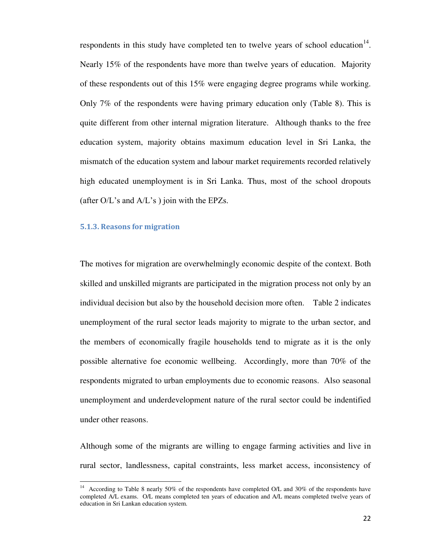respondents in this study have completed ten to twelve years of school education $14$ . Nearly 15% of the respondents have more than twelve years of education. Majority of these respondents out of this 15% were engaging degree programs while working. Only 7% of the respondents were having primary education only (Table 8). This is quite different from other internal migration literature. Although thanks to the free education system, majority obtains maximum education level in Sri Lanka, the mismatch of the education system and labour market requirements recorded relatively high educated unemployment is in Sri Lanka. Thus, most of the school dropouts (after  $O/L$ 's and  $A/L$ 's) join with the EPZs.

#### <span id="page-22-0"></span>**5.1.3. Reasons for migration**

The motives for migration are overwhelmingly economic despite of the context. Both skilled and unskilled migrants are participated in the migration process not only by an individual decision but also by the household decision more often. Table 2 indicates unemployment of the rural sector leads majority to migrate to the urban sector, and the members of economically fragile households tend to migrate as it is the only possible alternative foe economic wellbeing. Accordingly, more than 70% of the respondents migrated to urban employments due to economic reasons. Also seasonal unemployment and underdevelopment nature of the rural sector could be indentified under other reasons.

Although some of the migrants are willing to engage farming activities and live in rural sector, landlessness, capital constraints, less market access, inconsistency of

<sup>&</sup>lt;sup>14</sup> According to Table 8 nearly 50% of the respondents have completed O/L and 30% of the respondents have completed A/L exams. O/L means completed ten years of education and A/L means completed twelve years of education in Sri Lankan education system.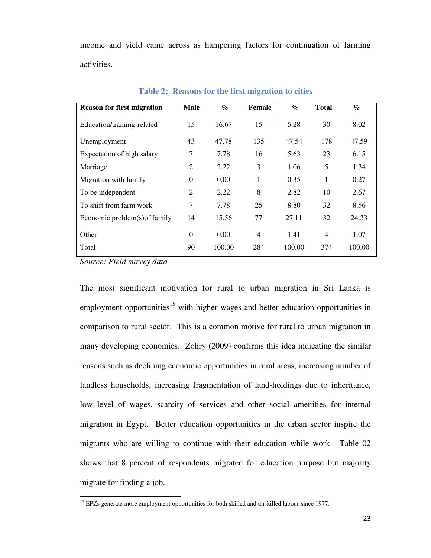income and yield came across as hampering factors for continuation of farming activities.

<span id="page-23-0"></span>

| <b>Reason for first migration</b> | <b>Male</b>      | $\mathcal{G}_{\mathcal{O}}$ | Female | $\%$   | <b>Total</b> | $\%$   |
|-----------------------------------|------------------|-----------------------------|--------|--------|--------------|--------|
| Education/training-related        | 15               | 16.67                       | 15     | 5.28   | 30           | 8.02   |
| Unemployment                      | 43               | 47.78                       | 135    | 47.54  | 178          | 47.59  |
| Expectation of high salary        | 7                | 7.78                        | 16     | 5.63   | 23           | 6.15   |
| Marriage                          | $\overline{c}$   | 2.22                        | 3      | 1.06   | 5            | 1.34   |
| Migration with family             | $\boldsymbol{0}$ | 0.00                        | 1      | 0.35   | 1            | 0.27   |
| To be independent                 | 2                | 2.22                        | 8      | 2.82   | 10           | 2.67   |
| To shift from farm work           | 7                | 7.78                        | 25     | 8.80   | 32           | 8.56   |
| Economic problem(s) of family     | 14               | 15.56                       | 77     | 27.11  | 32           | 24.33  |
| Other                             | $\theta$         | 0.00                        | 4      | 1.41   | 4            | 1.07   |
| Total                             | 90               | 100.00                      | 284    | 100.00 | 374          | 100.00 |

**Table 2: Reasons for the first migration to cities** 

*Source: Field survey data* 

l

The most significant motivation for rural to urban migration in Sri Lanka is employment opportunities<sup>15</sup> with higher wages and better education opportunities in comparison to rural sector. This is a common motive for rural to urban migration in many developing economies. Zohry (2009) confirms this idea indicating the similar reasons such as declining economic opportunities in rural areas, increasing number of landless households, increasing fragmentation of land-holdings due to inheritance, low level of wages, scarcity of services and other social amenities for internal migration in Egypt. Better education opportunities in the urban sector inspire the migrants who are willing to continue with their education while work. Table 02 shows that 8 percent of respondents migrated for education purpose but majority migrate for finding a job.

<sup>&</sup>lt;sup>15</sup> EPZs generate more employment opportunities for both skilled and unskilled labour since 1977.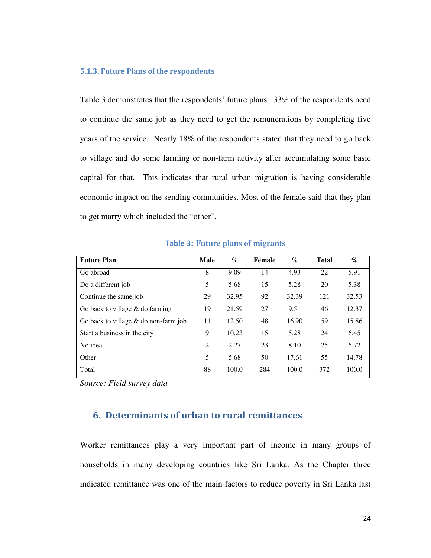#### <span id="page-24-0"></span>**5.1.3. Future Plans of the respondents**

Table 3 demonstrates that the respondents' future plans. 33% of the respondents need to continue the same job as they need to get the remunerations by completing five years of the service. Nearly 18% of the respondents stated that they need to go back to village and do some farming or non-farm activity after accumulating some basic capital for that. This indicates that rural urban migration is having considerable economic impact on the sending communities. Most of the female said that they plan to get marry which included the "other".

<span id="page-24-2"></span>

| <b>Future Plan</b>                     | <b>Male</b>    | $\%$  | Female | $\%$  | <b>Total</b> | $\mathcal{G}_{\mathcal{O}}$ |
|----------------------------------------|----------------|-------|--------|-------|--------------|-----------------------------|
| Go abroad                              | 8              | 9.09  | 14     | 4.93  | 22           | 5.91                        |
| Do a different job                     | 5              | 5.68  | 15     | 5.28  | 20           | 5.38                        |
| Continue the same job                  | 29             | 32.95 | 92     | 32.39 | 121          | 32.53                       |
| Go back to village $&$ do farming      | 19             | 21.59 | 27     | 9.51  | 46           | 12.37                       |
| Go back to village $&$ do non-farm job | 11             | 12.50 | 48     | 16.90 | 59           | 15.86                       |
| Start a business in the city           | 9              | 10.23 | 15     | 5.28  | 24           | 6.45                        |
| No idea                                | $\overline{2}$ | 2.27  | 23     | 8.10  | 25           | 6.72                        |
| Other                                  | 5              | 5.68  | 50     | 17.61 | 55           | 14.78                       |
| Total                                  | 88             | 100.0 | 284    | 100.0 | 372          | 100.0                       |

**Table 3: Future plans of migrants** 

*Source: Field survey data* 

#### <span id="page-24-1"></span>**6. Determinants of urban to rural remittances**

Worker remittances play a very important part of income in many groups of households in many developing countries like Sri Lanka. As the Chapter three indicated remittance was one of the main factors to reduce poverty in Sri Lanka last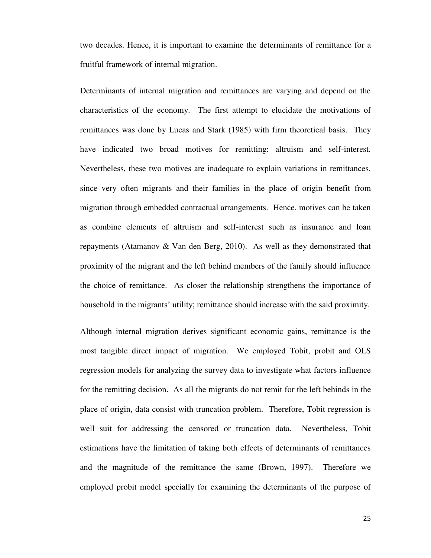two decades. Hence, it is important to examine the determinants of remittance for a fruitful framework of internal migration.

Determinants of internal migration and remittances are varying and depend on the characteristics of the economy. The first attempt to elucidate the motivations of remittances was done by Lucas and Stark (1985) with firm theoretical basis. They have indicated two broad motives for remitting: altruism and self-interest. Nevertheless, these two motives are inadequate to explain variations in remittances, since very often migrants and their families in the place of origin benefit from migration through embedded contractual arrangements. Hence, motives can be taken as combine elements of altruism and self-interest such as insurance and loan repayments (Atamanov & Van den Berg, 2010). As well as they demonstrated that proximity of the migrant and the left behind members of the family should influence the choice of remittance. As closer the relationship strengthens the importance of household in the migrants' utility; remittance should increase with the said proximity.

Although internal migration derives significant economic gains, remittance is the most tangible direct impact of migration. We employed Tobit, probit and OLS regression models for analyzing the survey data to investigate what factors influence for the remitting decision. As all the migrants do not remit for the left behinds in the place of origin, data consist with truncation problem. Therefore, Tobit regression is well suit for addressing the censored or truncation data. Nevertheless, Tobit estimations have the limitation of taking both effects of determinants of remittances and the magnitude of the remittance the same (Brown, 1997). Therefore we employed probit model specially for examining the determinants of the purpose of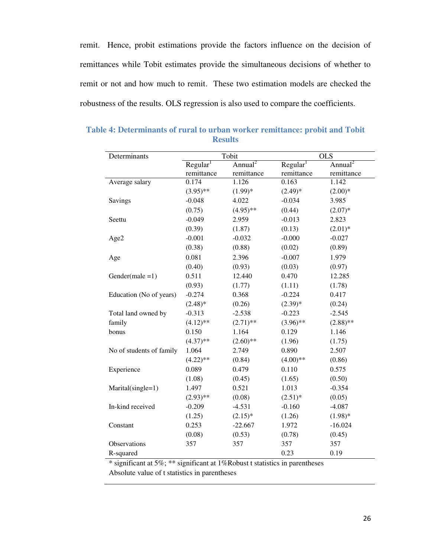remit. Hence, probit estimations provide the factors influence on the decision of remittances while Tobit estimates provide the simultaneous decisions of whether to remit or not and how much to remit. These two estimation models are checked the robustness of the results. OLS regression is also used to compare the coefficients.

| Determinants             | Tobit                |                     |                      | OLS                 |
|--------------------------|----------------------|---------------------|----------------------|---------------------|
|                          | Regular <sup>1</sup> | Annual <sup>2</sup> | Regular <sup>1</sup> | Annual <sup>2</sup> |
|                          | remittance           | remittance          | remittance           | remittance          |
| Average salary           | 0.174                | 1.126               | 0.163                | 1.142               |
|                          | $(3.95)$ **          | $(1.99)*$           | $(2.49)*$            | $(2.00)*$           |
| Savings                  | $-0.048$             | 4.022               | $-0.034$             | 3.985               |
|                          | (0.75)               | $(4.95)$ **         | (0.44)               | $(2.07)^*$          |
| Seettu                   | $-0.049$             | 2.959               | $-0.013$             | 2.823               |
|                          | (0.39)               | (1.87)              | (0.13)               | $(2.01)*$           |
| Age2                     | $-0.001$             | $-0.032$            | $-0.000$             | $-0.027$            |
|                          | (0.38)               | (0.88)              | (0.02)               | (0.89)              |
| Age                      | 0.081                | 2.396               | $-0.007$             | 1.979               |
|                          | (0.40)               | (0.93)              | (0.03)               | (0.97)              |
| Gender(male $=1$ )       | 0.511                | 12.440              | 0.470                | 12.285              |
|                          | (0.93)               | (1.77)              | (1.11)               | (1.78)              |
| Education (No of years)  | $-0.274$             | 0.368               | $-0.224$             | 0.417               |
|                          | $(2.48)$ *           | (0.26)              | $(2.39)*$            | (0.24)              |
| Total land owned by      | $-0.313$             | $-2.538$            | $-0.223$             | $-2.545$            |
| family                   | $(4.12)$ **          | $(2.71)$ **         | $(3.96)$ **          | $(2.88)$ **         |
| bonus                    | 0.150                | 1.164               | 0.129                | 1.146               |
|                          | $(4.37)$ **          | $(2.60)$ **         | (1.96)               | (1.75)              |
| No of students of family | 1.064                | 2.749               | 0.890                | 2.507               |
|                          | $(4.22)$ **          | (0.84)              | $(4.00)**$           | (0.86)              |
| Experience               | 0.089                | 0.479               | 0.110                | 0.575               |
|                          | (1.08)               | (0.45)              | (1.65)               | (0.50)              |
| Marital(single=1)        | 1.497                | 0.521               | 1.013                | $-0.354$            |
|                          | $(2.93)$ **          | (0.08)              | $(2.51)^*$           | (0.05)              |
| In-kind received         | $-0.209$             | $-4.531$            | $-0.160$             | $-4.087$            |
|                          | (1.25)               | $(2.15)^*$          | (1.26)               | $(1.98)$ *          |
| Constant                 | 0.253                | $-22.667$           | 1.972                | $-16.024$           |
|                          | (0.08)               | (0.53)              | (0.78)               | (0.45)              |
| Observations             | 357                  | 357                 | 357                  | 357                 |
| R-squared                |                      |                     | 0.23                 | 0.19                |

<span id="page-26-0"></span>**Table 4: Determinants of rural to urban worker remittance: probit and Tobit Results** 

\* significant at 5%; \*\* significant at 1%Robust t statistics in parentheses Absolute value of t statistics in parentheses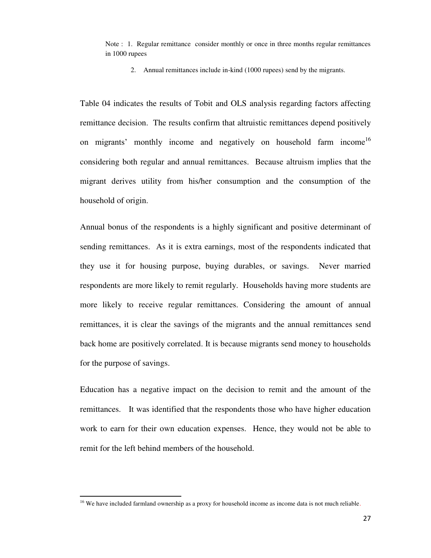Note : 1. Regular remittance consider monthly or once in three months regular remittances in 1000 rupees

2. Annual remittances include in-kind (1000 rupees) send by the migrants.

Table 04 indicates the results of Tobit and OLS analysis regarding factors affecting remittance decision. The results confirm that altruistic remittances depend positively on migrants' monthly income and negatively on household farm income<sup>16</sup> considering both regular and annual remittances. Because altruism implies that the migrant derives utility from his/her consumption and the consumption of the household of origin.

Annual bonus of the respondents is a highly significant and positive determinant of sending remittances. As it is extra earnings, most of the respondents indicated that they use it for housing purpose, buying durables, or savings. Never married respondents are more likely to remit regularly. Households having more students are more likely to receive regular remittances. Considering the amount of annual remittances, it is clear the savings of the migrants and the annual remittances send back home are positively correlated. It is because migrants send money to households for the purpose of savings.

Education has a negative impact on the decision to remit and the amount of the remittances. It was identified that the respondents those who have higher education work to earn for their own education expenses. Hence, they would not be able to remit for the left behind members of the household.

l

<sup>&</sup>lt;sup>16</sup> We have included farmland ownership as a proxy for household income as income data is not much reliable.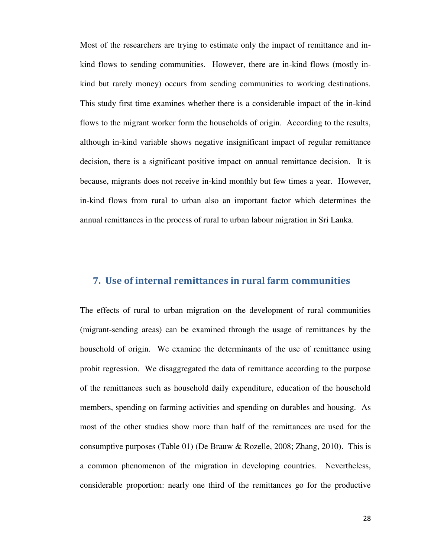Most of the researchers are trying to estimate only the impact of remittance and inkind flows to sending communities. However, there are in-kind flows (mostly inkind but rarely money) occurs from sending communities to working destinations. This study first time examines whether there is a considerable impact of the in-kind flows to the migrant worker form the households of origin. According to the results, although in-kind variable shows negative insignificant impact of regular remittance decision, there is a significant positive impact on annual remittance decision. It is because, migrants does not receive in-kind monthly but few times a year. However, in-kind flows from rural to urban also an important factor which determines the annual remittances in the process of rural to urban labour migration in Sri Lanka.

#### <span id="page-28-0"></span>**7. Use of internal remittances in rural farm communities**

The effects of rural to urban migration on the development of rural communities (migrant-sending areas) can be examined through the usage of remittances by the household of origin. We examine the determinants of the use of remittance using probit regression. We disaggregated the data of remittance according to the purpose of the remittances such as household daily expenditure, education of the household members, spending on farming activities and spending on durables and housing. As most of the other studies show more than half of the remittances are used for the consumptive purposes (Table 01) (De Brauw & Rozelle, 2008; Zhang, 2010). This is a common phenomenon of the migration in developing countries. Nevertheless, considerable proportion: nearly one third of the remittances go for the productive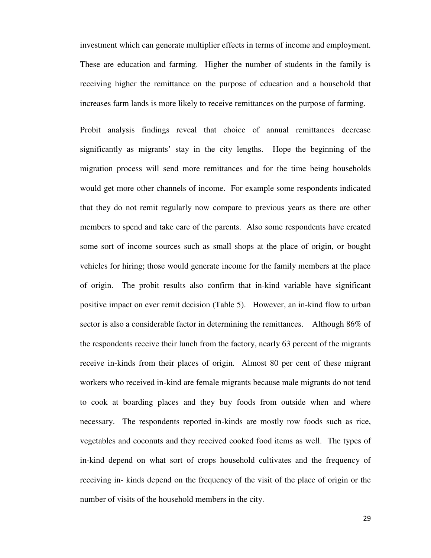investment which can generate multiplier effects in terms of income and employment. These are education and farming. Higher the number of students in the family is receiving higher the remittance on the purpose of education and a household that increases farm lands is more likely to receive remittances on the purpose of farming.

Probit analysis findings reveal that choice of annual remittances decrease significantly as migrants' stay in the city lengths. Hope the beginning of the migration process will send more remittances and for the time being households would get more other channels of income. For example some respondents indicated that they do not remit regularly now compare to previous years as there are other members to spend and take care of the parents. Also some respondents have created some sort of income sources such as small shops at the place of origin, or bought vehicles for hiring; those would generate income for the family members at the place of origin. The probit results also confirm that in-kind variable have significant positive impact on ever remit decision (Table 5). However, an in-kind flow to urban sector is also a considerable factor in determining the remittances. Although 86% of the respondents receive their lunch from the factory, nearly 63 percent of the migrants receive in-kinds from their places of origin. Almost 80 per cent of these migrant workers who received in-kind are female migrants because male migrants do not tend to cook at boarding places and they buy foods from outside when and where necessary. The respondents reported in-kinds are mostly row foods such as rice, vegetables and coconuts and they received cooked food items as well. The types of in-kind depend on what sort of crops household cultivates and the frequency of receiving in- kinds depend on the frequency of the visit of the place of origin or the number of visits of the household members in the city.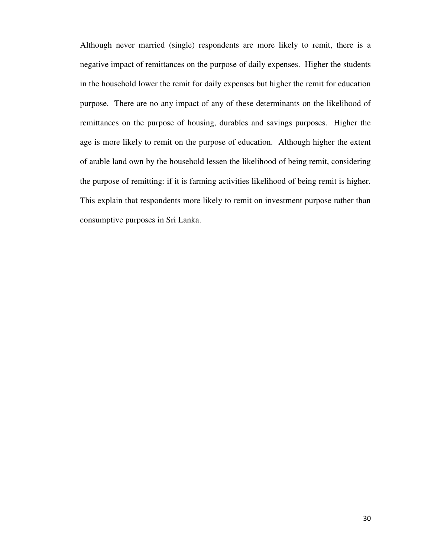Although never married (single) respondents are more likely to remit, there is a negative impact of remittances on the purpose of daily expenses. Higher the students in the household lower the remit for daily expenses but higher the remit for education purpose. There are no any impact of any of these determinants on the likelihood of remittances on the purpose of housing, durables and savings purposes. Higher the age is more likely to remit on the purpose of education. Although higher the extent of arable land own by the household lessen the likelihood of being remit, considering the purpose of remitting: if it is farming activities likelihood of being remit is higher. This explain that respondents more likely to remit on investment purpose rather than consumptive purposes in Sri Lanka.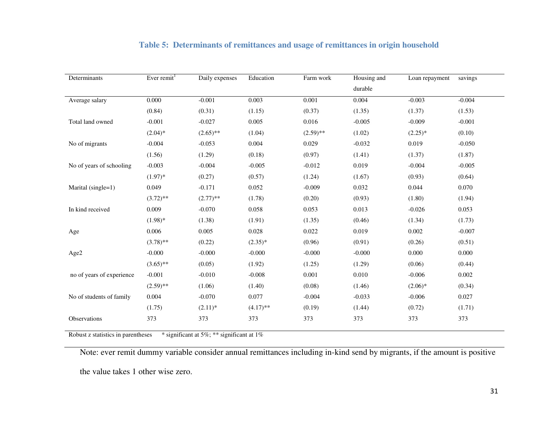<span id="page-31-0"></span>

| Determinants              | Ever remit $1$ | Daily expenses | Education   | Farm work   | Housing and | Loan repayment | savings  |
|---------------------------|----------------|----------------|-------------|-------------|-------------|----------------|----------|
|                           |                |                |             |             | durable     |                |          |
| Average salary            | 0.000          | $-0.001$       | 0.003       | 0.001       | 0.004       | $-0.003$       | $-0.004$ |
|                           | (0.84)         | (0.31)         | (1.15)      | (0.37)      | (1.35)      | (1.37)         | (1.53)   |
| Total land owned          | $-0.001$       | $-0.027$       | 0.005       | 0.016       | $-0.005$    | $-0.009$       | $-0.001$ |
|                           | $(2.04)*$      | $(2.65)$ **    | (1.04)      | $(2.59)$ ** | (1.02)      | $(2.25)^*$     | (0.10)   |
| No of migrants            | $-0.004$       | $-0.053$       | 0.004       | 0.029       | $-0.032$    | 0.019          | $-0.050$ |
|                           | (1.56)         | (1.29)         | (0.18)      | (0.97)      | (1.41)      | (1.37)         | (1.87)   |
| No of years of schooling  | $-0.003$       | $-0.004$       | $-0.005$    | $-0.012$    | 0.019       | $-0.004$       | $-0.005$ |
|                           | $(1.97)^*$     | (0.27)         | (0.57)      | (1.24)      | (1.67)      | (0.93)         | (0.64)   |
| Marital (single=1)        | 0.049          | $-0.171$       | 0.052       | $-0.009$    | 0.032       | 0.044          | 0.070    |
|                           | $(3.72)$ **    | $(2.77)$ **    | (1.78)      | (0.20)      | (0.93)      | (1.80)         | (1.94)   |
| In kind received          | 0.009          | $-0.070$       | 0.058       | 0.053       | 0.013       | $-0.026$       | 0.053    |
|                           | $(1.98)*$      | (1.38)         | (1.91)      | (1.35)      | (0.46)      | (1.34)         | (1.73)   |
| Age                       | 0.006          | 0.005          | 0.028       | 0.022       | 0.019       | 0.002          | $-0.007$ |
|                           | $(3.78)$ **    | (0.22)         | $(2.35)^*$  | (0.96)      | (0.91)      | (0.26)         | (0.51)   |
| Age2                      | $-0.000$       | $-0.000$       | $-0.000$    | $-0.000$    | $-0.000$    | 0.000          | 0.000    |
|                           | $(3.65)$ **    | (0.05)         | (1.92)      | (1.25)      | (1.29)      | (0.06)         | (0.44)   |
| no of years of experience | $-0.001$       | $-0.010$       | $-0.008$    | 0.001       | 0.010       | $-0.006$       | 0.002    |
|                           | $(2.59)$ **    | (1.06)         | (1.40)      | (0.08)      | (1.46)      | $(2.06)^*$     | (0.34)   |
| No of students of family  | 0.004          | $-0.070$       | 0.077       | $-0.004$    | $-0.033$    | $-0.006$       | 0.027    |
|                           | (1.75)         | $(2.11)^*$     | $(4.17)$ ** | (0.19)      | (1.44)      | (0.72)         | (1.71)   |
| Observations              | 373            | 373            | 373         | 373         | 373         | 373            | 373      |

#### **Table 5: Determinants of remittances and usage of remittances in origin household**

Robust z statistics in parentheses \* significant at 5%; \*\* significant at 1%

Note: ever remit dummy variable consider annual remittances including in-kind send by migrants, if the amount is positive

the value takes 1 other wise zero.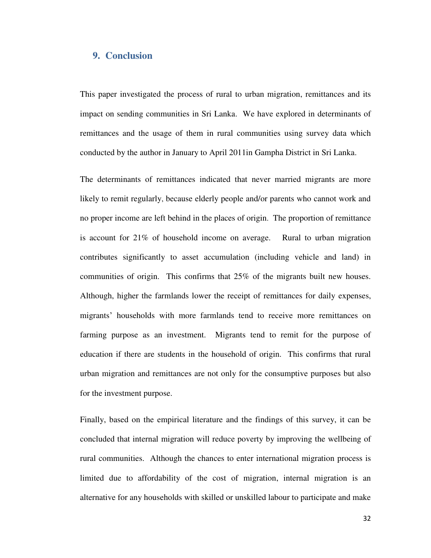#### <span id="page-32-0"></span>**9. Conclusion**

This paper investigated the process of rural to urban migration, remittances and its impact on sending communities in Sri Lanka. We have explored in determinants of remittances and the usage of them in rural communities using survey data which conducted by the author in January to April 2011in Gampha District in Sri Lanka.

The determinants of remittances indicated that never married migrants are more likely to remit regularly, because elderly people and/or parents who cannot work and no proper income are left behind in the places of origin. The proportion of remittance is account for 21% of household income on average. Rural to urban migration contributes significantly to asset accumulation (including vehicle and land) in communities of origin. This confirms that 25% of the migrants built new houses. Although, higher the farmlands lower the receipt of remittances for daily expenses, migrants' households with more farmlands tend to receive more remittances on farming purpose as an investment. Migrants tend to remit for the purpose of education if there are students in the household of origin. This confirms that rural urban migration and remittances are not only for the consumptive purposes but also for the investment purpose.

Finally, based on the empirical literature and the findings of this survey, it can be concluded that internal migration will reduce poverty by improving the wellbeing of rural communities. Although the chances to enter international migration process is limited due to affordability of the cost of migration, internal migration is an alternative for any households with skilled or unskilled labour to participate and make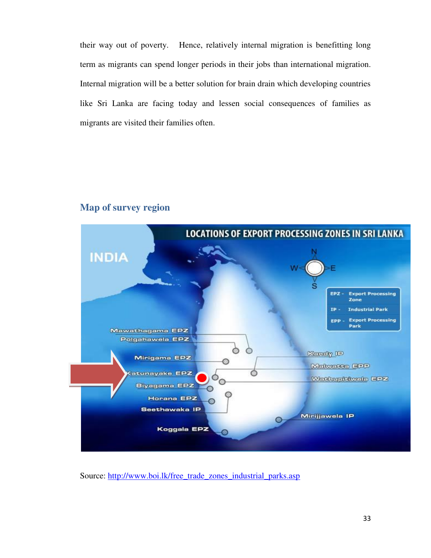their way out of poverty. Hence, relatively internal migration is benefitting long term as migrants can spend longer periods in their jobs than international migration. Internal migration will be a better solution for brain drain which developing countries like Sri Lanka are facing today and lessen social consequences of families as migrants are visited their families often.



## <span id="page-33-0"></span>**Map of survey region**

Source: [http://www.boi.lk/free\\_trade\\_zones\\_industrial\\_parks.asp](http://www.boi.lk/free_trade_zones_industrial_parks.asp)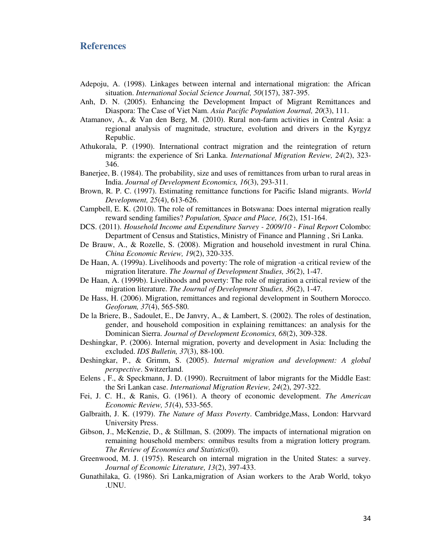#### <span id="page-34-0"></span>**References**

- Adepoju, A. (1998). Linkages between internal and international migration: the African situation. *International Social Science Journal, 50*(157), 387-395.
- Anh, D. N. (2005). Enhancing the Development Impact of Migrant Remittances and Diaspora: The Case of Viet Nam. *Asia Pacific Population Journal, 20*(3), 111.
- Atamanov, A., & Van den Berg, M. (2010). Rural non-farm activities in Central Asia: a regional analysis of magnitude, structure, evolution and drivers in the Kyrgyz Republic.
- Athukorala, P. (1990). International contract migration and the reintegration of return migrants: the experience of Sri Lanka. *International Migration Review, 24*(2), 323- 346.
- Banerjee, B. (1984). The probability, size and uses of remittances from urban to rural areas in India. *Journal of Development Economics, 16*(3), 293-311.
- Brown, R. P. C. (1997). Estimating remittance functions for Pacific Island migrants. *World Development, 25*(4), 613-626.
- Campbell, E. K. (2010). The role of remittances in Botswana: Does internal migration really reward sending families? *Population, Space and Place, 16*(2), 151-164.
- DCS. (2011). *Household Income and Expenditure Survey 2009/10 Final Report* Colombo: Department of Census and Statistics, Ministry of Finance and Planning , Sri Lanka.
- De Brauw, A., & Rozelle, S. (2008). Migration and household investment in rural China. *China Economic Review, 19*(2), 320-335.
- De Haan, A. (1999a). Livelihoods and poverty: The role of migration -a critical review of the migration literature. *The Journal of Development Studies, 36*(2), 1-47.
- De Haan, A. (1999b). Livelihoods and poverty: The role of migration a critical review of the migration literature. *The Journal of Development Studies, 36*(2), 1-47.
- De Hass, H. (2006). Migration, remittances and regional development in Southern Morocco. *Geoforum, 37*(4), 565-580.
- De la Briere, B., Sadoulet, E., De Janvry, A., & Lambert, S. (2002). The roles of destination, gender, and household composition in explaining remittances: an analysis for the Dominican Sierra. *Journal of Development Economics, 68*(2), 309-328.
- Deshingkar, P. (2006). Internal migration, poverty and development in Asia: Including the excluded. *IDS Bulletin, 37*(3), 88-100.
- Deshingkar, P., & Grimm, S. (2005). *Internal migration and development: A global perspective*. Switzerland.
- Eelens , F., & Speckmann, J. D. (1990). Recruitment of labor migrants for the Middle East: the Sri Lankan case. *International Migration Review, 24*(2), 297-322.
- Fei, J. C. H., & Ranis, G. (1961). A theory of economic development. *The American Economic Review, 51*(4), 533-565.
- Galbraith, J. K. (1979). *The Nature of Mass Poverty*. Cambridge,Mass, London: Harvvard University Press.
- Gibson, J., McKenzie, D., & Stillman, S. (2009). The impacts of international migration on remaining household members: omnibus results from a migration lottery program. *The Review of Economics and Statistics*(0).
- Greenwood, M. J. (1975). Research on internal migration in the United States: a survey. *Journal of Economic Literature, 13*(2), 397-433.
- Gunathilaka, G. (1986). Sri Lanka,migration of Asian workers to the Arab World, tokyo .UNU.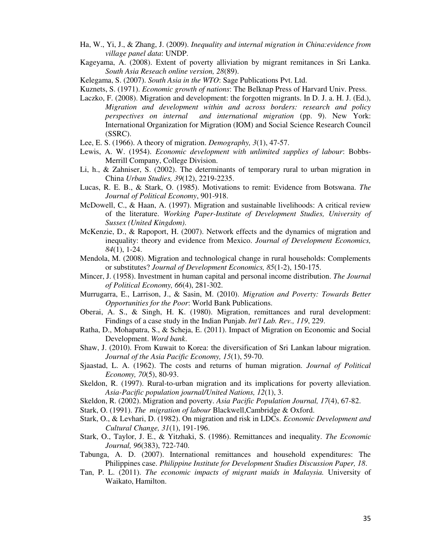- Ha, W., Yi, J., & Zhang, J. (2009). *Inequality and internal migration in China:evidence from village panel data*: UNDP.
- Kageyama, A. (2008). Extent of poverty alliviation by migrant remitances in Sri Lanka. *South Asia Reseach online version, 28*(89).
- Kelegama, S. (2007). *South Asia in the WTO*: Sage Publications Pvt. Ltd.
- Kuznets, S. (1971). *Economic growth of nations*: The Belknap Press of Harvard Univ. Press.
- Laczko, F. (2008). Migration and development: the forgotten migrants. In D. J. a. H. J. (Ed.), *Migration and development within and across borders: research and policy perspectives on internal and international migration* (pp. 9). New York: International Organization for Migration (IOM) and Social Science Research Council (SSRC).
- Lee, E. S. (1966). A theory of migration. *Demography, 3*(1), 47-57.
- Lewis, A. W. (1954). *Economic development with unlimited supplies of labour*: Bobbs-Merrill Company, College Division.
- Li, h., & Zahniser, S. (2002). The determinants of temporary rural to urban migration in China *Urban Studies, 39*(12), 2219-2235.
- Lucas, R. E. B., & Stark, O. (1985). Motivations to remit: Evidence from Botswana. *The Journal of Political Economy*, 901-918.
- McDowell, C., & Haan, A. (1997). Migration and sustainable livelihoods: A critical review of the literature. *Working Paper-Institute of Development Studies, University of Sussex (United Kingdom)*.
- McKenzie, D., & Rapoport, H. (2007). Network effects and the dynamics of migration and inequality: theory and evidence from Mexico. *Journal of Development Economics, 84*(1), 1-24.
- Mendola, M. (2008). Migration and technological change in rural households: Complements or substitutes? *Journal of Development Economics, 85*(1-2), 150-175.
- Mincer, J. (1958). Investment in human capital and personal income distribution. *The Journal of Political Economy, 66*(4), 281-302.
- Murrugarra, E., Larrison, J., & Sasin, M. (2010). *Migration and Poverty: Towards Better Opportunities for the Poor*: World Bank Publications.
- Oberai, A. S., & Singh, H. K. (1980). Migration, remittances and rural development: Findings of a case study in the Indian Punjab. *Int'l Lab. Rev., 119*, 229.
- Ratha, D., Mohapatra, S., & Scheja, E. (2011). Impact of Migration on Economic and Social Development. *Word bank*.
- Shaw, J. (2010). From Kuwait to Korea: the diversification of Sri Lankan labour migration. *Journal of the Asia Pacific Economy, 15*(1), 59-70.
- Sjaastad, L. A. (1962). The costs and returns of human migration. *Journal of Political Economy, 70*(5), 80-93.
- Skeldon, R. (1997). Rural-to-urban migration and its implications for poverty alleviation. *Asia-Pacific population journal/United Nations, 12*(1), 3.
- Skeldon, R. (2002). Migration and poverty. *Asia Pacific Population Journal, 17*(4), 67-82.
- Stark, O. (1991). *The migration of labour* Blackwell,Cambridge & Oxford.
- Stark, O., & Levhari, D. (1982). On migration and risk in LDCs. *Economic Development and Cultural Change, 31*(1), 191-196.
- Stark, O., Taylor, J. E., & Yitzhaki, S. (1986). Remittances and inequality. *The Economic Journal, 96*(383), 722-740.
- Tabunga, A. D. (2007). International remittances and household expenditures: The Philippines case. *Philippine Institute for Development Studies Discussion Paper, 18*.
- Tan, P. L. (2011). *The economic impacts of migrant maids in Malaysia.* University of Waikato, Hamilton.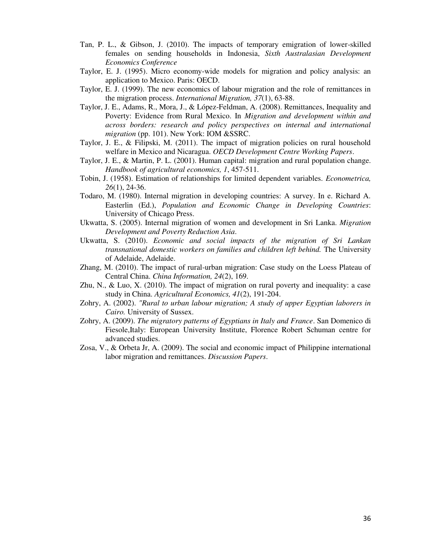- Tan, P. L., & Gibson, J. (2010). The impacts of temporary emigration of lower-skilled females on sending households in Indonesia, *Sixth Australasian Development Economics Conference*
- Taylor, E. J. (1995). Micro economy-wide models for migration and policy analysis: an application to Mexico. Paris: OECD.
- Taylor, E. J. (1999). The new economics of labour migration and the role of remittances in the migration process. *International Migration, 37*(1), 63-88.
- Taylor, J. E., Adams, R., Mora, J., & López-Feldman, A. (2008). Remittances, Inequality and Poverty: Evidence from Rural Mexico. In *Migration and development within and across borders: research and policy perspectives on internal and international migration* (pp. 101). New York: IOM &SSRC.
- Taylor, J. E., & Filipski, M. (2011). The impact of migration policies on rural household welfare in Mexico and Nicaragua. *OECD Development Centre Working Papers*.
- Taylor, J. E., & Martin, P. L. (2001). Human capital: migration and rural population change. *Handbook of agricultural economics, 1*, 457-511.
- Tobin, J. (1958). Estimation of relationships for limited dependent variables. *Econometrica, 26*(1), 24-36.
- Todaro, M. (1980). Internal migration in developing countries: A survey. In e. Richard A. Easterlin (Ed.), *Population and Economic Change in Developing Countries*: University of Chicago Press.
- Ukwatta, S. (2005). Internal migration of women and development in Sri Lanka. *Migration Development and Poverty Reduction Asia*.
- Ukwatta, S. (2010). *Economic and social impacts of the migration of Sri Lankan transnational domestic workers on families and children left behind.* The University of Adelaide, Adelaide.
- Zhang, M. (2010). The impact of rural-urban migration: Case study on the Loess Plateau of Central China. *China Information, 24*(2), 169.
- Zhu, N., & Luo, X. (2010). The impact of migration on rural poverty and inequality: a case study in China. *Agricultural Economics, 41*(2), 191-204.
- Zohry, A. (2002). *"Rural to urban labour migration; A study of upper Egyptian laborers in Cairo.* University of Sussex.
- Zohry, A. (2009). *The migratory patterns of Egyptians in Italy and France*. San Domenico di Fiesole,Italy: European University Institute, Florence Robert Schuman centre for advanced studies.
- Zosa, V., & Orbeta Jr, A. (2009). The social and economic impact of Philippine international labor migration and remittances. *Discussion Papers*.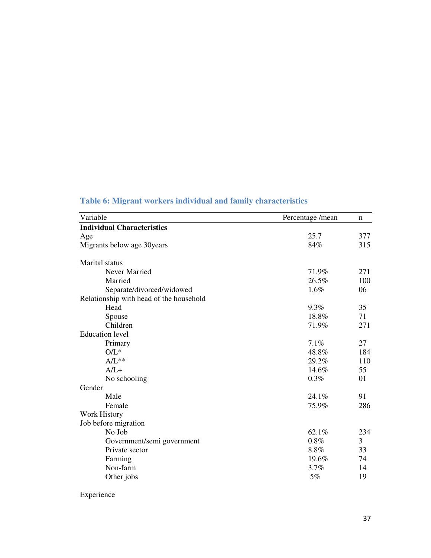<span id="page-37-0"></span>

|  |  |  | Table 6: Migrant workers individual and family characteristics |
|--|--|--|----------------------------------------------------------------|
|  |  |  |                                                                |

| Variable                                | Percentage/mean | n   |
|-----------------------------------------|-----------------|-----|
| <b>Individual Characteristics</b>       |                 |     |
| Age                                     | 25.7            | 377 |
| Migrants below age 30years              | 84%             | 315 |
| Marital status                          |                 |     |
| Never Married                           | 71.9%           | 271 |
| Married                                 | 26.5%           | 100 |
| Separate/divorced/widowed               | 1.6%            | 06  |
| Relationship with head of the household |                 |     |
| Head                                    | 9.3%            | 35  |
| Spouse                                  | 18.8%           | 71  |
| Children                                | 71.9%           | 271 |
| <b>Education</b> level                  |                 |     |
| Primary                                 | 7.1%            | 27  |
| $O/L^*$                                 | 48.8%           | 184 |
| $A/L**$                                 | 29.2%           | 110 |
| $A/L+$                                  | 14.6%           | 55  |
| No schooling                            | 0.3%            | 01  |
| Gender                                  |                 |     |
| Male                                    | 24.1%           | 91  |
| Female                                  | 75.9%           | 286 |
| <b>Work History</b>                     |                 |     |
| Job before migration                    |                 |     |
| No Job                                  | 62.1%           | 234 |
| Government/semi government              | 0.8%            | 3   |
| Private sector                          | 8.8%            | 33  |
| Farming                                 | 19.6%           | 74  |
| Non-farm                                | 3.7%            | 14  |
| Other jobs                              | 5%              | 19  |
|                                         |                 |     |

Experience